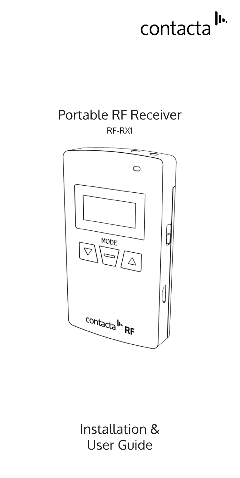# contacta<sup>li.</sup>

# Portable RF Receiver RF-RX1



Installation & User Guide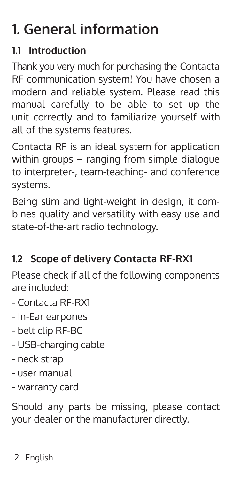# **1. General information**

### **1.1 Introduction**

Thank you very much for purchasing the Contacta RF communication system! You have chosen a modern and reliable system. Please read this manual carefully to be able to set up the unit correctly and to familiarize yourself with all of the systems features.

Contacta RF is an ideal system for application within groups – ranging from simple dialogue to interpreter-, team-teaching- and conference systems.

Being slim and light-weight in design, it combines quality and versatility with easy use and state-of-the-art radio technology.

# **1.2 Scope of delivery Contacta RF-RX1**

Please check if all of the following components are included:

- Contacta RF-RX1
- In-Ear earpones
- belt clip RF-BC
- USB-charging cable
- neck strap
- user manual
- warranty card

Should any parts be missing, please contact your dealer or the manufacturer directly.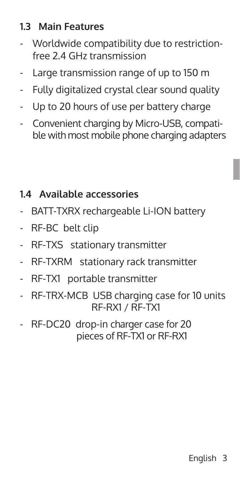### **1.3 Main Features**

- Worldwide compatibility due to restrictionfree 2.4 GHz transmission
- Large transmission range of up to 150 m
- Fully digitalized crystal clear sound quality
- Up to 20 hours of use per battery charge
- Convenient charging by Micro-USB, compatible with most mobile phone charging adapters

### **1.4 Available accessories**

- BATT-TXRX rechargeable Li-ION battery
- RF-BC belt clip
- RF-TXS stationary transmitter
- RF-TXRM stationary rack transmitter
- RF-TX1 portable transmitter
- RF-TRX-MCB USB charging case for 10 units RF-RX1 / RF-TX1
- RF-DC20 drop-in charger case for 20 pieces of RF-TX1 or RF-RX1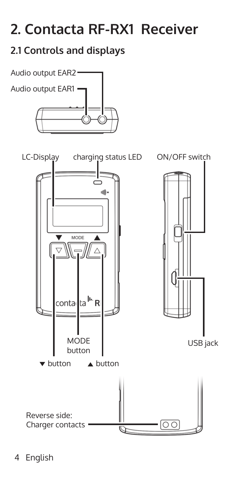# **2. Contacta RF-RX1 Receiver**

### **2.1 Controls and displays**

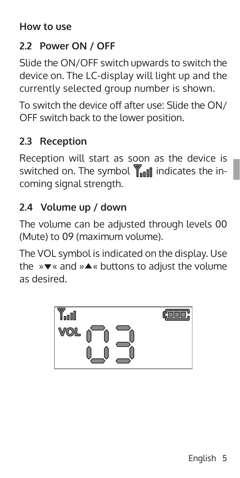# **2.2 Power ON / OFF**

Slide the ON/OFF switch upwards to switch the device on. The LC-display will light up and the currently selected group number is shown.

To switch the device off after use: Slide the ON/ OFF switch back to the lower position.

# **2.3 Reception**

Reception will start as soon as the device is switched on. The symbol  $\sum_{n=1}^{\infty}$  indicates the incoming signal strength.

# **2.4 Volume up / down**

The volume can be adjusted through levels 00 (Mute) to 09 (maximum volume).

The VOL symbol is indicated on the display. Use the  $\sqrt{*}$  and  $\sqrt{*}$  buttons to adjust the volume as desired.

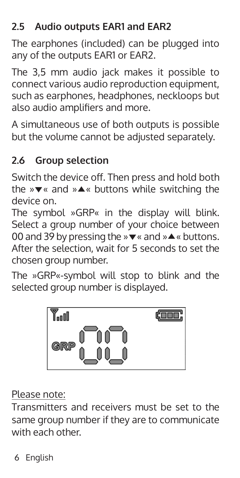# **2.5 Audio outputs EAR1 and EAR2**

The earphones (included) can be plugged into any of the outputs EAR1 or EAR2.

The 3,5 mm audio jack makes it possible to connect various audio reproduction equipment, such as earphones, headphones, neckloops but also audio amplifiers and more.

A simultaneous use of both outputs is possible but the volume cannot be adjusted separately.

# **2.6 Group selection**

Switch the device off. Then press and hold both the »« and »« buttons while switching the device on.

The symbol »GRP« in the display will blink. Select a group number of your choice between 00 and 39 by pressing the  $\sqrt{*}$  and  $\sqrt{*}$  we buttons. After the selection, wait for 5 seconds to set the chosen group number.

The »GRP«-symbol will stop to blink and the selected group number is displayed.



### Please note:

Transmitters and receivers must be set to the same group number if they are to communicate with each other.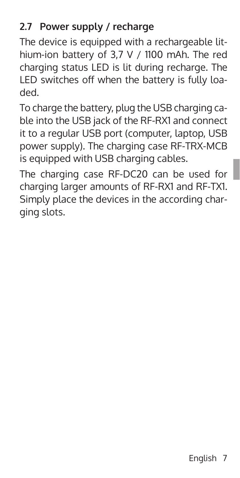# **2.7 Power supply / recharge**

The device is equipped with a rechargeable lithium-ion battery of 3,7 V / 1100 mAh. The red charging status LED is lit during recharge. The LED switches off when the battery is fully loaded.

To charge the battery, plug the USB charging cable into the USB jack of the RF-RX1 and connect it to a regular USB port (computer, laptop, USB power supply). The charging case RF-TRX-MCB is equipped with USB charging cables.

The charging case RF-DC20 can be used for charging larger amounts of RF-RX1 and RF-TX1. Simply place the devices in the according charging slots.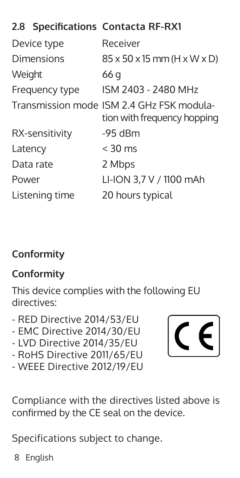# **2.8 Specifications Contacta RF-RX1**

| Device type    | Receiver                                                                 |
|----------------|--------------------------------------------------------------------------|
| Dimensions     | $85 \times 50 \times 15$ mm (H $\times$ W $\times$ D)                    |
| Weight         | 66 q                                                                     |
| Frequency type | ISM 2403 - 2480 MHz                                                      |
|                | Transmission mode ISM 2.4 GHz FSK modula-<br>tion with frequency hopping |
| RX-sensitivity | $-95$ dBm                                                                |
| Latency        | $<$ 30 ms                                                                |
| Data rate      | 2 Mbps                                                                   |
| Power          | LI-ION 3,7 V / 1100 mAh                                                  |
| Listening time | 20 hours typical                                                         |

### **Conformity**

### **Conformity**

This device complies with the following EU directives:

- RED Directive 2014/53/EU
- EMC Directive 2014/30/EU
- LVD Directive 2014/35/EU
- RoHS Directive 2011/65/EU
- WEEE Directive 2012/19/EU



Compliance with the directives listed above is confirmed by the CE seal on the device.

Specifications subject to change.

8 English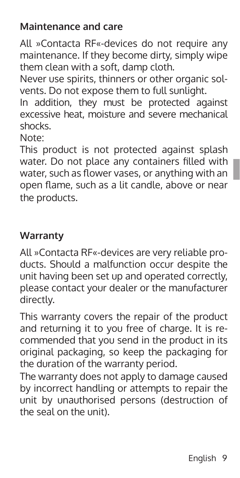### **Maintenance and care**

All »Contacta RF«-devices do not require any maintenance. If they become dirty, simply wipe them clean with a soft, damp cloth.

Never use spirits, thinners or other organic solvents. Do not expose them to full sunlight.

In addition, they must be protected against excessive heat, moisture and severe mechanical shocks.

Note:

This product is not protected against splash water. Do not place any containers filled with water, such as flower vases, or anything with an open flame, such as a lit candle, above or near the products.

### **Warranty**

All »Contacta RF«-devices are very reliable products. Should a malfunction occur despite the unit having been set up and operated correctly, please contact your dealer or the manufacturer directly.

This warranty covers the repair of the product and returning it to you free of charge. It is recommended that you send in the product in its original packaging, so keep the packaging for the duration of the warranty period.

The warranty does not apply to damage caused by incorrect handling or attempts to repair the unit by unauthorised persons (destruction of the seal on the unit).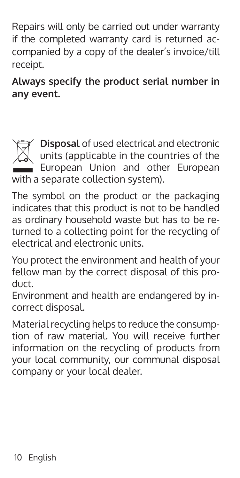Repairs will only be carried out under warranty if the completed warranty card is returned accompanied by a copy of the dealer's invoice/till receipt.

**Always specify the product serial number in any event.**



**Disposal** of used electrical and electronic units (applicable in the countries of the European Union and other European with a separate collection system).

The symbol on the product or the packaging indicates that this product is not to be handled as ordinary household waste but has to be returned to a collecting point for the recycling of electrical and electronic units.

You protect the environment and health of your fellow man by the correct disposal of this product.

Environment and health are endangered by incorrect disposal.

Material recycling helps to reduce the consumption of raw material. You will receive further information on the recycling of products from your local community, our communal disposal company or your local dealer.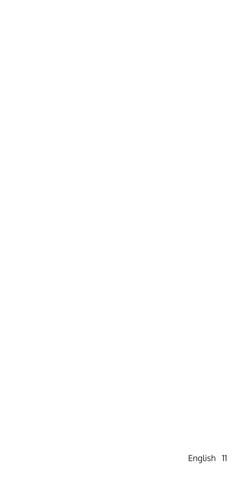English 11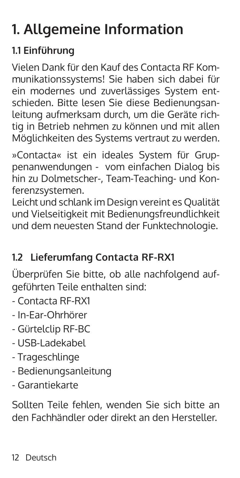# **1. Allgemeine Information**

### **1.1 Einführung**

Vielen Dank für den Kauf des Contacta RF Kommunikationssystems! Sie haben sich dabei für ein modernes und zuverlässiges System entschieden. Bitte lesen Sie diese Bedienungsanleitung aufmerksam durch, um die Geräte richtig in Betrieb nehmen zu können und mit allen Möglichkeiten des Systems vertraut zu werden.

»Contacta« ist ein ideales System für Gruppenanwendungen - vom einfachen Dialog bis hin zu Dolmetscher-, Team-Teaching- und Konferenzsystemen.

Leicht und schlank im Design vereint es Qualität und Vielseitigkeit mit Bedienungsfreundlichkeit und dem neuesten Stand der Funktechnologie.

### **1.2 Lieferumfang Contacta RF-RX1**

Überprüfen Sie bitte, ob alle nachfolgend aufgeführten Teile enthalten sind:

- Contacta RF-RX1
- In-Ear-Ohrhörer
- Gürtelclip RF-BC
- USB-Ladekabel
- Trageschlinge
- Bedienungsanleitung
- Garantiekarte

Sollten Teile fehlen, wenden Sie sich bitte an den Fachhändler oder direkt an den Hersteller.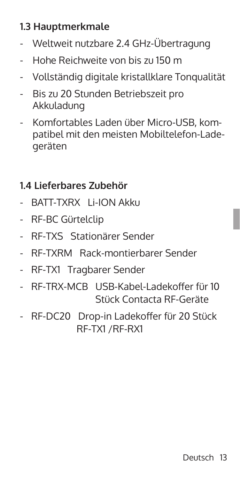### **1.3 Hauptmerkmale**

- Weltweit nutzbare 2.4 GHz-Übertragung
- Hohe Reichweite von bis zu 150 m
- Vollständig digitale kristallklare Tonqualität
- Bis zu 20 Stunden Betriebszeit pro Akkuladung
- Komfortables Laden über Micro-USB, kompatibel mit den meisten Mobiltelefon-Ladegeräten

### **1.4 Lieferbares Zubehör**

- BATT-TXRX Li-ION Akku
- RF-BC Gürtelclip
- RF-TXS Stationärer Sender
- RF-TXRM Rack-montierbarer Sender
- RF-TX1 Tragbarer Sender
- RF-TRX-MCB USB-Kabel-Ladekoffer für 10 Stück Contacta RF-Geräte
- RF-DC20 Drop-in Ladekoffer für 20 Stück RF-TX1 /RF-RX1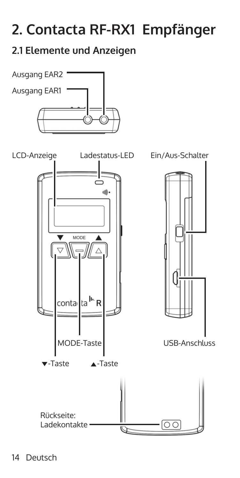# **2. Contacta RF-RX1 Empfänger**

### **2.1 Elemente und Anzeigen**

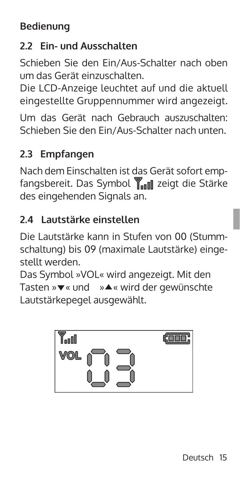### **Bedienung**

### **2.2 Ein- und Ausschalten**

Schieben Sie den Ein/Aus-Schalter nach oben um das Gerät einzuschalten.

Die LCD-Anzeige leuchtet auf und die aktuell eingestellte Gruppennummer wird angezeigt.

Um das Gerät nach Gebrauch auszuschalten: Schieben Sie den Ein/Aus-Schalter nach unten.

# **2.3 Empfangen**

Nach dem Einschalten ist das Gerät sofort empfangsbereit. Das Symbol **Toul** zeigt die Stärke des eingehenden Signals an.

# **2.4 Lautstärke einstellen**

Die Lautstärke kann in Stufen von 00 (Stummschaltung) bis 09 (maximale Lautstärke) eingestellt werden.

Das Symbol »VOL« wird angezeigt. Mit den Tasten »« und »« wird der gewünschte Lautstärkepegel ausgewählt.

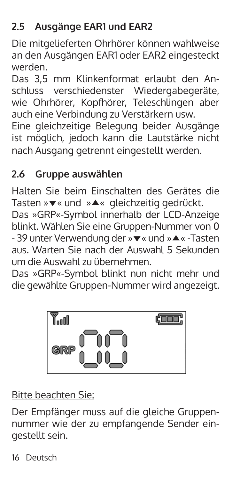# **2.5 Ausgänge EAR1 und EAR2**

Die mitgelieferten Ohrhörer können wahlweise an den Ausgängen EAR1 oder EAR2 eingesteckt werden.

Das 3,5 mm Klinkenformat erlaubt den Anschluss verschiedenster Wiedergabegeräte, wie Ohrhörer, Kopfhörer, Teleschlingen aber auch eine Verbindung zu Verstärkern usw.

Eine gleichzeitige Belegung beider Ausgänge ist möglich, jedoch kann die Lautstärke nicht nach Ausgang getrennt eingestellt werden.

### **2.6 Gruppe auswählen**

Halten Sie beim Einschalten des Gerätes die Tasten » v« und » ▲ « gleichzeitig gedrückt.

Das »GRP«-Symbol innerhalb der LCD-Anzeige blinkt. Wählen Sie eine Gruppen-Nummer von 0 - 39 unter Verwendung der » v« und »▲« -Tasten aus. Warten Sie nach der Auswahl 5 Sekunden um die Auswahl zu übernehmen.

Das »GRP«-Symbol blinkt nun nicht mehr und die gewählte Gruppen-Nummer wird angezeigt.



### Bitte beachten Sie:

Der Empfänger muss auf die gleiche Gruppennummer wie der zu empfangende Sender eingestellt sein.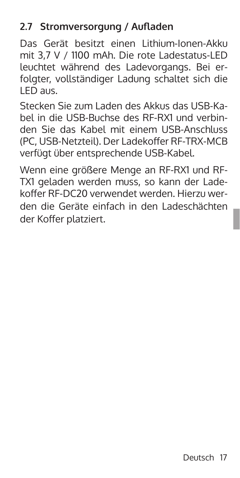### **2.7 Stromversorgung / Aufladen**

Das Gerät besitzt einen Lithium-Ionen-Akku mit 3,7 V / 1100 mAh. Die rote Ladestatus-LED leuchtet während des Ladevorgangs. Bei erfolgter, vollständiger Ladung schaltet sich die LED aus.

Stecken Sie zum Laden des Akkus das USB-Kabel in die USB-Buchse des RF-RX1 und verbinden Sie das Kabel mit einem USB-Anschluss (PC, USB-Netzteil). Der Ladekoffer RF-TRX-MCB verfügt über entsprechende USB-Kabel.

Wenn eine größere Menge an RF-RX1 und RF-TX1 geladen werden muss, so kann der Ladekoffer RF-DC20 verwendet werden. Hierzu werden die Geräte einfach in den Ladeschächten der Koffer platziert.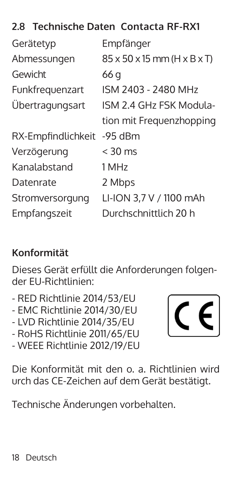### **2.8 Technische Daten Contacta RF-RX1**

| Gerätetyp          | Empfänger                                             |
|--------------------|-------------------------------------------------------|
| Abmessungen        | $85 \times 50 \times 15$ mm (H $\times$ B $\times$ T) |
| Gewicht            | 66 q                                                  |
| Funkfrequenzart    | ISM 2403 - 2480 MHz                                   |
| Übertragungsart    | ISM 2.4 GHz FSK Modula-                               |
|                    | tion mit Frequenzhopping                              |
| RX-Empfindlichkeit | $-95$ dBm                                             |
| Verzögerung        | $<$ 30 ms                                             |
| Kanalabstand       | 1 MH <sub>7</sub>                                     |
| Datenrate          | 2 Mbps                                                |
| Stromversorgung    | LI-ION 3,7 V / 1100 mAh                               |
| Empfangszeit       | Durchschnittlich 20 h                                 |

#### **Konformität**

Dieses Gerät erfüllt die Anforderungen folgender EU-Richtlinien:

- RED Richtlinie 2014/53/EU
- EMC Richtlinie 2014/30/EU
- LVD Richtlinie 2014/35/EU
- RoHS Richtlinie 2011/65/EU
- WEEE Richtlinie 2012/19/EU



Die Konformität mit den o. a. Richtlinien wird urch das CE-Zeichen auf dem Gerät bestätigt.

Technische Änderungen vorbehalten.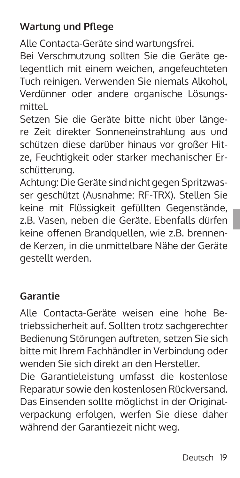### **Wartung und Pflege**

Alle Contacta-Geräte sind wartungsfrei.

Bei Verschmutzung sollten Sie die Geräte gelegentlich mit einem weichen, angefeuchteten Tuch reinigen. Verwenden Sie niemals Alkohol, Verdünner oder andere organische Lösungsmittel.

Setzen Sie die Geräte bitte nicht über längere Zeit direkter Sonneneinstrahlung aus und schützen diese darüber hinaus vor großer Hitze, Feuchtigkeit oder starker mechanischer Erschütterung.

Achtung: Die Geräte sind nicht gegen Spritzwasser geschützt (Ausnahme: RF-TRX). Stellen Sie keine mit Flüssigkeit gefüllten Gegenstände, z.B. Vasen, neben die Geräte. Ebenfalls dürfen keine offenen Brandquellen, wie z.B. brennende Kerzen, in die unmittelbare Nähe der Geräte gestellt werden.

### **Garantie**

Alle Contacta-Geräte weisen eine hohe Betriebssicherheit auf. Sollten trotz sachgerechter Bedienung Störungen auftreten, setzen Sie sich bitte mit Ihrem Fachhändler in Verbindung oder wenden Sie sich direkt an den Hersteller.

Die Garantieleistung umfasst die kostenlose Reparatur sowie den kostenlosen Rückversand. Das Einsenden sollte möglichst in der Originalverpackung erfolgen, werfen Sie diese daher während der Garantiezeit nicht weg.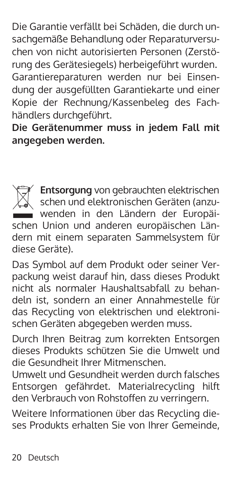Die Garantie verfällt bei Schäden, die durch unsachgemäße Behandlung oder Reparaturversuchen von nicht autorisierten Personen (Zerstörung des Gerätesiegels) herbeigeführt wurden. Garantiereparaturen werden nur bei Einsendung der ausgefüllten Garantiekarte und einer Kopie der Rechnung/Kassenbeleg des Fachhändlers durchgeführt.

**Die Gerätenummer muss in jedem Fall mit angegeben werden.**

**Entsorgung** von gebrauchten elektrischen schen und elektronischen Geräten (anzuwenden in den Ländern der Europäischen Union und anderen europäischen Ländern mit einem separaten Sammelsystem für diese Geräte).

Das Symbol auf dem Produkt oder seiner Verpackung weist darauf hin, dass dieses Produkt nicht als normaler Haushaltsabfall zu behandeln ist, sondern an einer Annahmestelle für das Recycling von elektrischen und elektronischen Geräten abgegeben werden muss.

Durch Ihren Beitrag zum korrekten Entsorgen dieses Produkts schützen Sie die Umwelt und die Gesundheit Ihrer Mitmenschen.

Umwelt und Gesundheit werden durch falsches Entsorgen gefährdet. Materialrecycling hilft den Verbrauch von Rohstoffen zu verringern.

Weitere Informationen über das Recycling dieses Produkts erhalten Sie von Ihrer Gemeinde,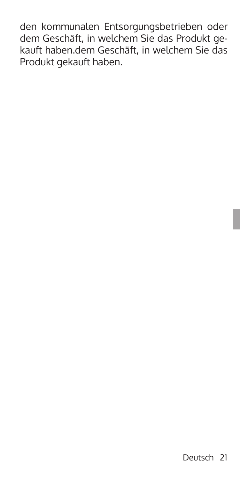den kommunalen Entsorgungsbetrieben oder dem Geschäft, in welchem Sie das Produkt gekauft haben.dem Geschäft, in welchem Sie das Produkt gekauft haben.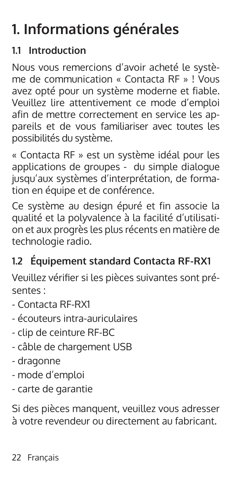# **1. Informations générales**

### **1.1 Introduction**

Nous vous remercions d'avoir acheté le système de communication « Contacta RF » ! Vous avez opté pour un système moderne et fiable. Veuillez lire attentivement ce mode d'emploi afin de mettre correctement en service les appareils et de vous familiariser avec toutes les possibilités du système.

« Contacta RF » est un système idéal pour les applications de groupes - du simple dialogue jusqu'aux systèmes d'interprétation, de formation en équipe et de conférence.

Ce système au design épuré et fin associe la qualité et la polyvalence à la facilité d'utilisation et aux progrès les plus récents en matière de technologie radio.

# **1.2 Équipement standard Contacta RF-RX1**

Veuillez vérifier si les pièces suivantes sont présentes :

- Contacta RF-RX1
- écouteurs intra-auriculaires
- clip de ceinture RF-BC
- câble de chargement USB
- dragonne
- mode d'emploi
- carte de garantie

Si des pièces manquent, veuillez vous adresser à votre revendeur ou directement au fabricant.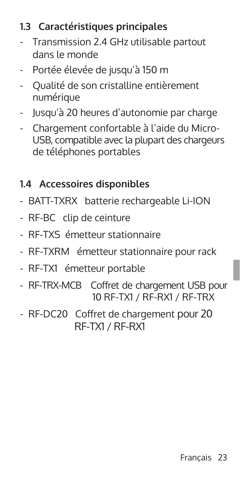### **1.3 Caractéristiques principales**

- Transmission 2.4 GHz utilisable partout dans le monde
- Portée élevée de jusqu'à 150 m
- Qualité de son cristalline entièrement numérique
- Jusqu'à 20 heures d'autonomie par charge
- Chargement confortable à l'aide du Micro-USB, compatible avec la plupart des chargeurs de téléphones portables

### **1.4 Accessoires disponibles**

- BATT-TXRX batterie rechargeable Li-ION
- RF-BC clip de ceinture
- RF-TXS émetteur stationnaire
- RF-TXRM émetteur stationnaire pour rack
- RF-TX1 émetteur portable
- RF-TRX-MCB Coffret de chargement USB pour 10 RF-TX1 / RF-RX1 / RF-TRX
- RF-DC20 Coffret de chargement pour 20 RF-TX1 / RF-RX1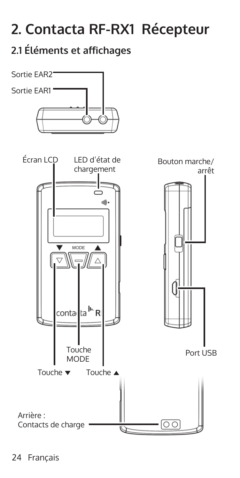# **2. Contacta RF-RX1 Récepteur**

# **2.1 Éléments et affichages**

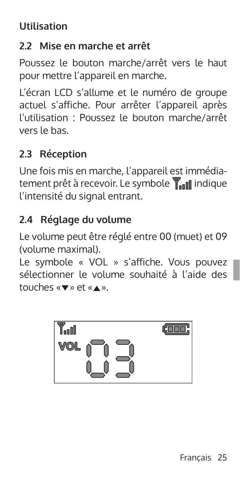### **Utilisation**

#### **2.2 Mise en marche et arrêt**

Poussez le bouton marche/arrêt vers le haut pour mettre l'appareil en marche.

L'écran LCD s'allume et le numéro de groupe actuel s'affiche. Pour arrêter l'appareil après l'utilisation : Poussez le bouton marche/arrêt vers le bas.

# **2.3 Réception**

Une fois mis en marche, l'appareil est immédiatement prêt à recevoir. Le symbole  $\P_{\text{null}}$  indique l'intensité du signal entrant.

# **2.4 Réglage du volume**

Le volume peut être réglé entre 00 (muet) et 09 (volume maximal).

Le symbole « VOL » s'affiche. Vous pouvez sélectionner le volume souhaité à l'aide des touches «» et «».

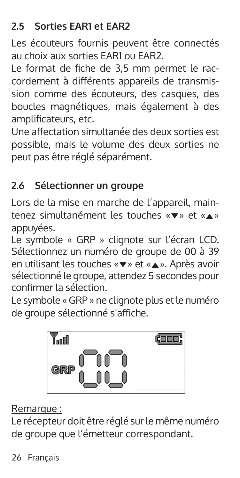### **2.5 Sorties EAR1 et EAR2**

Les écouteurs fournis peuvent être connectés au choix aux sorties EAR1 ou EAR2.

Le format de fiche de 3,5 mm permet le raccordement à différents appareils de transmission comme des écouteurs, des casques, des boucles magnétiques, mais également à des amplificateurs, etc.

Une affectation simultanée des deux sorties est possible, mais le volume des deux sorties ne peut pas être réglé séparément.

### **2.6 Sélectionner un groupe**

Lors de la mise en marche de l'appareil, maintenez simultanément les touches «» et «» appuyées.

Le symbole « GRP » clignote sur l'écran LCD. Sélectionnez un numéro de groupe de 00 à 39 en utilisant les touches «▼» et «▲». Après avoir sélectionné le groupe, attendez 5 secondes pour confirmer la sélection.

Le symbole « GRP » ne clignote plus et le numéro de groupe sélectionné s'affiche.



Remarque :

Le récepteur doit être réglé sur le même numéro de groupe que l'émetteur correspondant.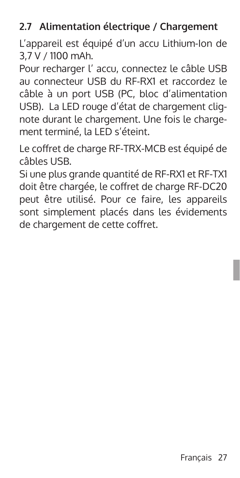### **2.7 Alimentation électrique / Chargement**

L'appareil est équipé d'un accu Lithium-Ion de 3,7 V / 1100 mAh.

Pour recharger l' accu, connectez le câble USB au connecteur USB du RF-RX1 et raccordez le câble à un port USB (PC, bloc d'alimentation USB). La LED rouge d'état de chargement clignote durant le chargement. Une fois le chargement terminé, la LED s'éteint.

Le coffret de charge RF-TRX-MCB est équipé de câbles USB.

Si une plus grande quantité de RF-RX1 et RF-TX1 doit être chargée, le coffret de charge RF-DC20 peut être utilisé. Pour ce faire, les appareils sont simplement placés dans les évidements de chargement de cette coffret.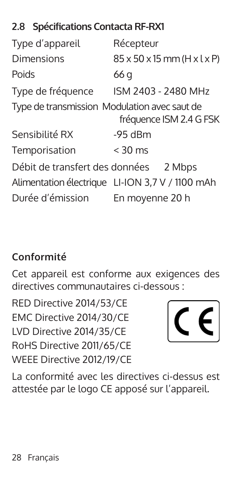# **2.8 Spécifications Contacta RF-RX1**

| Type d'appareil                              | Récepteur                                             |
|----------------------------------------------|-------------------------------------------------------|
| Dimensions                                   | $85 \times 50 \times 15$ mm (H $\times$ l $\times$ P) |
| Poids                                        | 66 q                                                  |
| Type de fréquence                            | ISM 2403 - 2480 MHz                                   |
| Type de transmission Modulation avec saut de | fréquence ISM 2.4 G FSK                               |
| Sensibilité RX                               | $-95$ dBm                                             |
| Temporisation                                | $<$ 30 ms                                             |
| Débit de transfert des données               | 2 Mbps                                                |
|                                              | Alimentation électrique LI-ION 3,7 V / 1100 mAh       |
| Durée d'émission                             | En moyenne 20 h                                       |

### **Conformité**

Cet appareil est conforme aux exigences des directives communautaires ci-dessous :

RED Directive 2014/53/CE EMC Directive 2014/30/CE LVD Directive 2014/35/CE RoHS Directive 2011/65/CE WEEE Directive 2012/19/CE



La conformité avec les directives ci-dessus est attestée par le logo CE apposé sur l'appareil.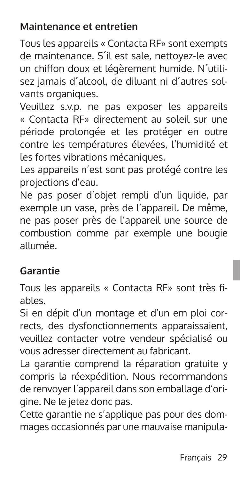### **Maintenance et entretien**

Tous les appareils « Contacta RF» sont exempts de maintenance. S´il est sale, nettoyez-le avec un chiffon doux et légèrement humide. N´utilisez jamais d´alcool, de diluant ni d´autres solvants organiques.

Veuillez s.v.p. ne pas exposer les appareils « Contacta RF» directement au soleil sur une période prolongée et les protéger en outre contre les températures élevées, l'humidité et les fortes vibrations mécaniques.

Les appareils n'est sont pas protégé contre les projections d'eau.

Ne pas poser d'objet rempli d'un liquide, par exemple un vase, près de l'appareil. De même, ne pas poser près de l'appareil une source de combustion comme par exemple une bougie allumée.

#### **Garantie**

Tous les appareils « Contacta RF» sont très fiables.

Si en dépit d'un montage et d'un em ploi corrects, des dysfonctionnements apparaissaient, veuillez contacter votre vendeur spécialisé ou vous adresser directement au fabricant.

La garantie comprend la réparation gratuite y compris la réexpédition. Nous recommandons de renvoyer l'appareil dans son emballage d'origine. Ne le jetez donc pas.

Cette garantie ne s'applique pas pour des dommages occasionnés par une mauvaise manipula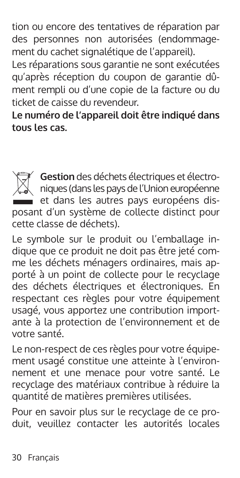tion ou encore des tentatives de réparation par des personnes non autorisées (endommagement du cachet signalétique de l'appareil).

Les réparations sous garantie ne sont exécutées qu'après réception du coupon de garantie dûment rempli ou d'une copie de la facture ou du ticket de caisse du revendeur.

**Le numéro de l'appareil doit être indiqué dans tous les cas.**

**Gestion** des déchets électriques et électroniques (dans les pays de l'Union européenne et dans les autres pays européens disposant d'un système de collecte distinct pour cette classe de déchets).

Le symbole sur le produit ou l'emballage indique que ce produit ne doit pas être jeté comme les déchets ménagers ordinaires, mais apporté à un point de collecte pour le recyclage des déchets électriques et électroniques. En respectant ces règles pour votre équipement usagé, vous apportez une contribution importante à la protection de l'environnement et de votre santé.

Le non-respect de ces règles pour votre équipement usagé constitue une atteinte à l'environnement et une menace pour votre santé. Le recyclage des matériaux contribue à réduire la quantité de matières premières utilisées.

Pour en savoir plus sur le recyclage de ce produit, veuillez contacter les autorités locales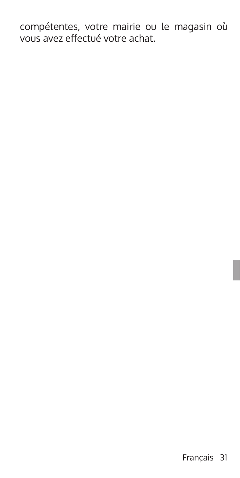compétentes, votre mairie ou le magasin où vous avez effectué votre achat.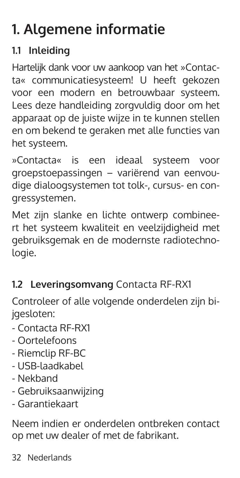# **1. Algemene informatie**

# **1.1 Inleiding**

Hartelijk dank voor uw aankoop van het »Contacta« communicatiesysteem! U heeft gekozen voor een modern en betrouwbaar systeem. Lees deze handleiding zorgvuldig door om het apparaat op de juiste wijze in te kunnen stellen en om bekend te geraken met alle functies van het systeem.

»Contacta« is een ideaal systeem voor groepstoepassingen – variërend van eenvoudige dialoogsystemen tot tolk-, cursus- en congressystemen.

Met zijn slanke en lichte ontwerp combineert het systeem kwaliteit en veelzijdigheid met gebruiksgemak en de modernste radiotechnologie.

# **1.2 Leveringsomvang** Contacta RF-RX1

Controleer of alle volgende onderdelen zijn biigesloten:

- Contacta RF-RX1
- Oortelefoons
- Riemclip RF-BC
- USB-laadkabel
- Nekband
- Gebruiksaanwijzing
- Garantiekaart

Neem indien er onderdelen ontbreken contact op met uw dealer of met de fabrikant.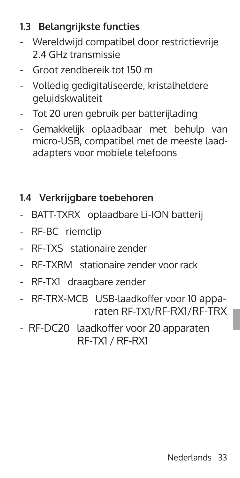### **1.3 Belangrijkste functies**

- Wereldwijd compatibel door restrictievrije 2.4 GHz transmissie
- Groot zendbereik tot 150 m
- Volledig gedigitaliseerde, kristalheldere geluidskwaliteit
- Tot 20 uren gebruik per batterijlading
- Gemakkelijk oplaadbaar met behulp van micro-USB, compatibel met de meeste laadadapters voor mobiele telefoons

### **1.4 Verkrijgbare toebehoren**

- BATT-TXRX oplaadbare Li-ION batterij
- RF-BC riemclip
- RF-TXS stationaire zender
- RF-TXRM stationaire zender voor rack
- RF-TX1 draagbare zender
- RF-TRX-MCB USB-laadkoffer voor 10 appa raten RF-TX1/RF-RX1/RF-TRX
- RF-DC20 laadkoffer voor 20 apparaten RF-TX1 / RF-RX1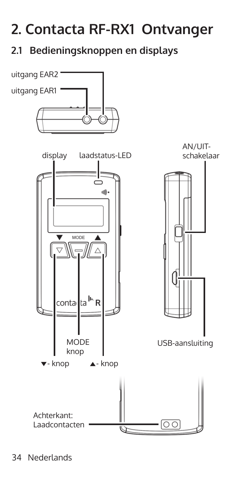# **2. Contacta RF-RX1 Ontvanger**

### **2.1 Bedieningsknoppen en displays**

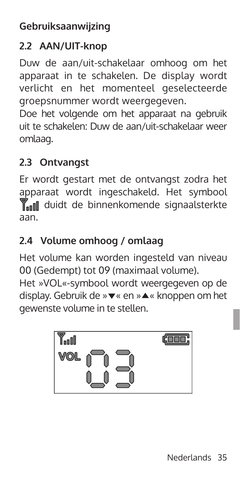### **Gebruiksaanwijzing**

### **2.2 AAN/UIT-knop**

Duw de aan/uit-schakelaar omhoog om het apparaat in te schakelen. De display wordt verlicht en het momenteel geselecteerde groepsnummer wordt weergegeven.

Doe het volgende om het apparaat na gebruik uit te schakelen: Duw de aan/uit-schakelaar weer omlaag.

### **2.3 Ontvangst**

Er wordt gestart met de ontvangst zodra het apparaat wordt ingeschakeld. Het symbool **Toul** duidt de binnenkomende signaalsterkte aan.

### **2.4 Volume omhoog / omlaag**

Het volume kan worden ingesteld van niveau 00 (Gedempt) tot 09 (maximaal volume).

Het »VOL«-symbool wordt weergegeven op de display. Gebruik de »« en »« knoppen om het gewenste volume in te stellen.

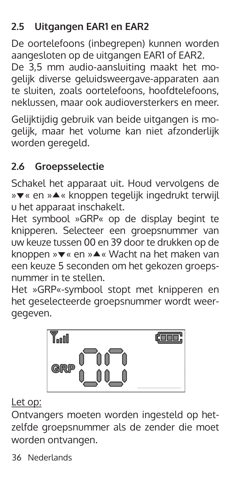# **2.5 Uitgangen EAR1 en EAR2**

De oortelefoons (inbegrepen) kunnen worden aangesloten op de uitgangen EAR1 of EAR2. De 3,5 mm audio-aansluiting maakt het mogelijk diverse geluidsweergave-apparaten aan te sluiten, zoals oortelefoons, hoofdtelefoons, neklussen, maar ook audioversterkers en meer.

Gelijktijdig gebruik van beide uitgangen is mogelijk, maar het volume kan niet afzonderlijk worden geregeld.

### **2.6 Groepsselectie**

Schakel het apparaat uit. Houd vervolgens de »« en »« knoppen tegelijk ingedrukt terwijl u het apparaat inschakelt.

Het symbool »GRP« op de display begint te knipperen. Selecteer een groepsnummer van uw keuze tussen 00 en 39 door te drukken op de knoppen »« en »« Wacht na het maken van een keuze 5 seconden om het gekozen groepsnummer in te stellen.

Het »GRP«-symbool stopt met knipperen en het geselecteerde groepsnummer wordt weergegeven.



### Let op:

Ontvangers moeten worden ingesteld op hetzelfde groepsnummer als de zender die moet worden ontvangen.

36 Nederlands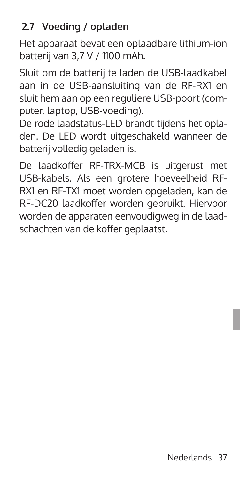### **2.7 Voeding / opladen**

Het apparaat bevat een oplaadbare lithium-ion batterij van 3,7 V / 1100 mAh.

Sluit om de batterij te laden de USB-laadkabel aan in de USB-aansluiting van de RF-RX1 en sluit hem aan op een reguliere USB-poort (computer, laptop, USB-voeding).

De rode laadstatus-LED brandt tijdens het opladen. De LED wordt uitgeschakeld wanneer de batterij volledig geladen is.

De laadkoffer RF-TRX-MCB is uitgerust met USB-kabels. Als een grotere hoeveelheid RF-RX1 en RF-TX1 moet worden opgeladen, kan de RF-DC20 laadkoffer worden gebruikt. Hiervoor worden de apparaten eenvoudigweg in de laadschachten van de koffer geplaatst.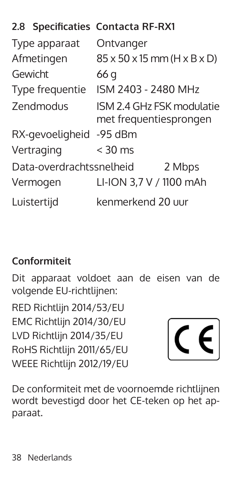# **2.8 Specificaties Contacta RF-RX1**

| Type apparaat            | Ontvanger                                             |
|--------------------------|-------------------------------------------------------|
| Afmetingen               | $85 \times 50 \times 15$ mm (H $\times$ B $\times$ D) |
| Gewicht                  | 66 q                                                  |
| Type frequentie          | ISM 2403 - 2480 MHz                                   |
| Zendmodus                | ISM 2.4 GHz FSK modulatie<br>met frequentiesprongen   |
| RX-gevoeligheid -95 dBm  |                                                       |
| Vertraging               | $<$ 30 ms                                             |
| Data-overdrachtssnelheid | 2 Mbps                                                |
| Vermogen                 | LI-ION 3,7 V / 1100 mAh                               |
| Luistertijd              | kenmerkend 20 uur                                     |

### **Conformiteit**

Dit apparaat voldoet aan de eisen van de volgende EU-richtlijnen:

RED Richtlijn 2014/53/EU EMC Richtlijn 2014/30/EU LVD Richtlijn 2014/35/EU RoHS Richtlijn 2011/65/EU WEEE Richtlijn 2012/19/EU



De conformiteit met de voornoemde richtlijnen wordt bevestigd door het CE-teken op het apparaat.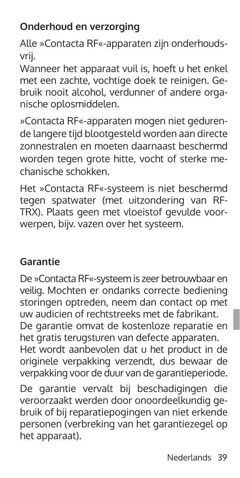### **Onderhoud en verzorging**

Alle »Contacta RF«-apparaten zijn onderhoudsvrij.

Wanneer het apparaat vuil is, hoeft u het enkel met een zachte, vochtige doek te reinigen. Gebruik nooit alcohol, verdunner of andere organische oplosmiddelen.

»Contacta RF«-apparaten mogen niet gedurende langere tijd blootgesteld worden aan directe zonnestralen en moeten daarnaast beschermd worden tegen grote hitte, vocht of sterke mechanische schokken.

Het »Contacta RF«-systeem is niet beschermd tegen spatwater (met uitzondering van RF-TRX). Plaats geen met vloeistof gevulde voorwerpen, bijv. vazen over het systeem.

### **Garantie**

De »Contacta RF«-systeem is zeer betrouwbaar en veilig. Mochten er ondanks correcte bediening storingen optreden, neem dan contact op met uw audicien of rechtstreeks met de fabrikant. De garantie omvat de kostenloze reparatie en het gratis terugsturen van defecte apparaten. Het wordt aanbevolen dat u het product in de originele verpakking verzendt, dus bewaar de verpakking voor de duur van de garantieperiode. De garantie vervalt bij beschadigingen die veroorzaakt werden door onoordeelkundig gebruik of bij reparatiepogingen van niet erkende personen (verbreking van het garantiezegel op het apparaat).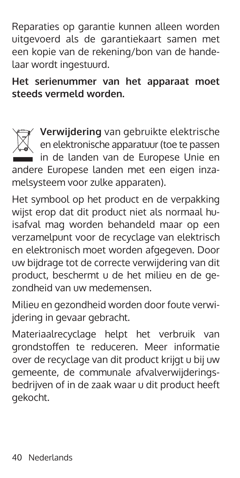Reparaties op garantie kunnen alleen worden uitgevoerd als de garantiekaart samen met een kopie van de rekening/bon van de handelaar wordt ingestuurd.

**Het serienummer van het apparaat moet steeds vermeld worden.**

**Verwijdering** van gebruikte elektrische en elektronische apparatuur (toe te passen in de landen van de Europese Unie en andere Europese landen met een eigen inzamelsysteem voor zulke apparaten).

Het symbool op het product en de verpakking wijst erop dat dit product niet als normaal huisafval mag worden behandeld maar op een verzamelpunt voor de recyclage van elektrisch en elektronisch moet worden afgegeven. Door uw bijdrage tot de correcte verwijdering van dit product, beschermt u de het milieu en de gezondheid van uw medemensen.

Milieu en gezondheid worden door foute verwijdering in gevaar gebracht.

Materiaalrecyclage helpt het verbruik van grondstoffen te reduceren. Meer informatie over de recyclage van dit product krijgt u bij uw gemeente, de communale afvalverwijderingsbedrijven of in de zaak waar u dit product heeft gekocht.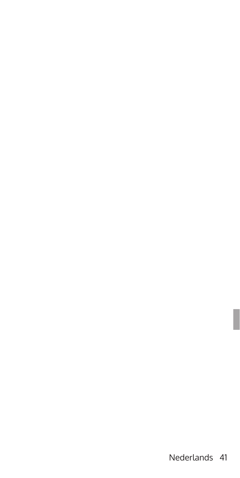Nederlands 41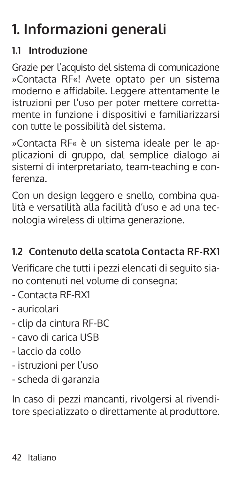# **1. Informazioni generali**

### **1.1 Introduzione**

Grazie per l'acquisto del sistema di comunicazione »Contacta RF«! Avete optato per un sistema moderno e affidabile. Leggere attentamente le istruzioni per l'uso per poter mettere correttamente in funzione i dispositivi e familiarizzarsi con tutte le possibilità del sistema.

»Contacta RF« è un sistema ideale per le applicazioni di gruppo, dal semplice dialogo ai sistemi di interpretariato, team-teaching e conferenza.

Con un design leggero e snello, combina qualità e versatilità alla facilità d'uso e ad una tecnologia wireless di ultima generazione.

### **1.2 Contenuto della scatola Contacta RF-RX1**

Verificare che tutti i pezzi elencati di seguito siano contenuti nel volume di consegna:

- Contacta RF-RX1
- auricolari
- clip da cintura RF-BC
- cavo di carica USB
- laccio da collo
- istruzioni per l'uso
- scheda di garanzia

In caso di pezzi mancanti, rivolgersi al rivenditore specializzato o direttamente al produttore.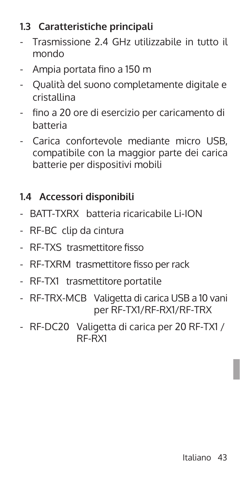### **1.3 Caratteristiche principali**

- Trasmissione 2.4 GHz utilizzabile in tutto il mondo
- Ampia portata fino a 150 m
- Qualità del suono completamente digitale e cristallina
- fino a 20 ore di esercizio per caricamento di batteria
- Carica confortevole mediante micro USB, compatibile con la maggior parte dei carica batterie per dispositivi mobili

### **1.4 Accessori disponibili**

- BATT-TXRX batteria ricaricabile Li-ION
- RF-BC clip da cintura
- RF-TXS trasmettitore fisso
- RF-TXRM trasmettitore fisso per rack
- RF-TX1 trasmettitore portatile
- RF-TRX-MCB Valigetta di carica USB a 10 vani per RF-TX1/RF-RX1/RF-TRX
- RF-DC20 Valigetta di carica per 20 RF-TX1 / RF-RX1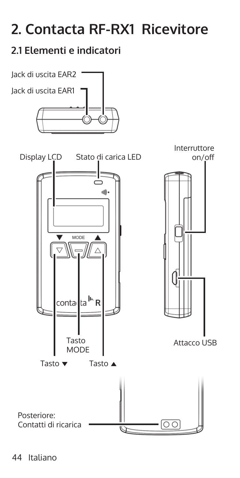# **2. Contacta RF-RX1 Ricevitore**

### **2.1 Elementi e indicatori**

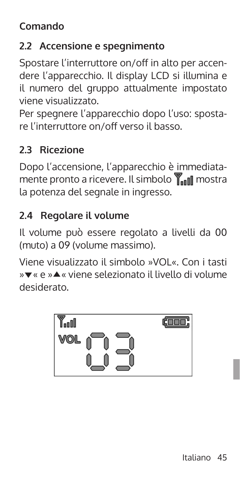### **Comando**

### **2.2 Accensione e spegnimento**

Spostare l'interruttore on/off in alto per accendere l'apparecchio. Il display LCD si illumina e il numero del gruppo attualmente impostato viene visualizzato.

Per spegnere l'apparecchio dopo l'uso: spostare l'interruttore on/off verso il basso.

### **2.3 Ricezione**

Dopo l'accensione, l'apparecchio è immediatamente pronto a ricevere. Il simbolo  $\sum_{n=1}^{\infty}$ mostra la potenza del segnale in ingresso.

### **2.4 Regolare il volume**

Il volume può essere regolato a livelli da 00 (muto) a 09 (volume massimo).

Viene visualizzato il simbolo »VOL«. Con i tasti »« e »« viene selezionato il livello di volume desiderato.

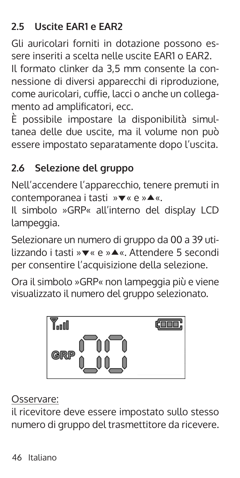# **2.5 Uscite EAR1 e EAR2**

Gli auricolari forniti in dotazione possono essere inseriti a scelta nelle uscite EAR1 o EAR2. Il formato clinker da 3,5 mm consente la connessione di diversi apparecchi di riproduzione, come auricolari, cuffie, lacci o anche un collegamento ad amplificatori, ecc.

È possibile impostare la disponibilità simultanea delle due uscite, ma il volume non può essere impostato separatamente dopo l'uscita.

### **2.6 Selezione del gruppo**

Nell'accendere l'apparecchio, tenere premuti in contemporanea i tasti »v« e »▲«.

Il simbolo »GRP« all'interno del display LCD lampeggia.

Selezionare un numero di gruppo da 00 a 39 utilizzando i tasti »« e »«. Attendere 5 secondi per consentire l'acquisizione della selezione.

Ora il simbolo »GRP« non lampeggia più e viene visualizzato il numero del gruppo selezionato.



#### Osservare:

il ricevitore deve essere impostato sullo stesso numero di gruppo del trasmettitore da ricevere.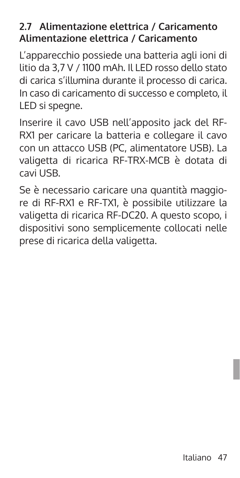### **2.7 Alimentazione elettrica / Caricamento Alimentazione elettrica / Caricamento**

L'apparecchio possiede una batteria agli ioni di litio da 3,7 V / 1100 mAh. Il LED rosso dello stato di carica s'illumina durante il processo di carica. In caso di caricamento di successo e completo, il LED si spegne.

Inserire il cavo USB nell'apposito jack del RF-RX1 per caricare la batteria e collegare il cavo con un attacco USB (PC, alimentatore USB). La valigetta di ricarica RF-TRX-MCB è dotata di cavi USB.

Se è necessario caricare una quantità maggiore di RF-RX1 e RF-TX1, è possibile utilizzare la valigetta di ricarica RF-DC20. A questo scopo, i dispositivi sono semplicemente collocati nelle prese di ricarica della valigetta.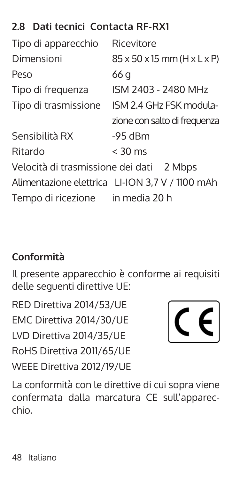# **2.8 Dati tecnici Contacta RF-RX1**

| Tipo di apparecchio                      | Ricevitore                                            |
|------------------------------------------|-------------------------------------------------------|
| Dimensioni                               | $85 \times 50 \times 15$ mm (H $\times$ L $\times$ P) |
| Peso                                     | 66 q                                                  |
| Tipo di freguenza                        | ISM 2403 - 2480 MHz                                   |
| Tipo di trasmissione                     | ISM 2.4 GHz FSK modula-                               |
|                                          | zione con salto di freguenza                          |
| Sensibilità RX                           | $-95$ dBm                                             |
| Ritardo                                  | $<$ 30 ms                                             |
| Velocità di trasmissione dei dati 2 Mbps |                                                       |
|                                          | Alimentazione elettrica LI-ION 3,7 V / 1100 mAh       |
| Tempo di ricezione in media 20 h         |                                                       |

### **Conformità**

Il presente apparecchio è conforme ai requisiti delle seguenti direttive UE:

RED Direttiva 2014/53/UE EMC Direttiva 2014/30/UE LVD Direttiva 2014/35/UE RoHS Direttiva 2011/65/UE WEEE Direttiva 2012/19/UE



La conformità con le direttive di cui sopra viene confermata dalla marcatura CE sull'apparecchio.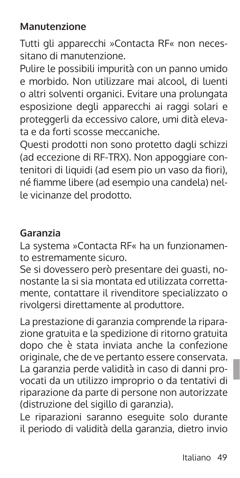### **Manutenzione**

Tutti gli apparecchi »Contacta RF« non necessitano di manutenzione.

Pulire le possibili impurità con un panno umido e morbido. Non utilizzare mai alcool, di luenti o altri solventi organici. Evitare una prolungata esposizione degli apparecchi ai raggi solari e proteggerli da eccessivo calore, umi dità elevata e da forti scosse meccaniche.

Questi prodotti non sono protetto dagli schizzi (ad eccezione di RF-TRX). Non appoggiare contenitori di liquidi (ad esem pio un vaso da fiori), né fiamme libere (ad esempio una candela) nelle vicinanze del prodotto.

#### **Garanzia**

La systema »Contacta RF« ha un funzionamento estremamente sicuro.

Se si dovessero però presentare dei guasti, nonostante la si sia montata ed utilizzata correttamente, contattare il rivenditore specializzato o rivolgersi direttamente al produttore.

La prestazione di garanzia comprende la riparazione gratuita e la spedizione di ritorno gratuita dopo che è stata inviata anche la confezione originale, che de ve pertanto essere conservata. La garanzia perde validità in caso di danni provocati da un utilizzo improprio o da tentativi di riparazione da parte di persone non autorizzate (distruzione del sigillo di garanzia).

Le riparazioni saranno eseguite solo durante il periodo di validità della garanzia, dietro invio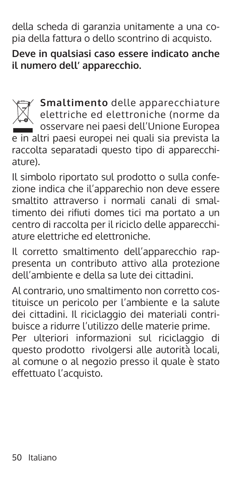della scheda di garanzia unitamente a una copia della fattura o dello scontrino di acquisto. **Deve in qualsiasi caso essere indicato anche il numero dell' apparecchio.** 

**Smaltimento** delle apparecchiature elettriche ed elettroniche (norme da osservare nei paesi dell'Unione Europea e in altri paesi europei nei quali sia prevista la raccolta separatadi questo tipo di apparecchiature).

Il simbolo riportato sul prodotto o sulla confezione indica che il'apparechio non deve essere smaltito attraverso i normali canali di smaltimento dei rifiuti domes tici ma portato a un centro di raccolta per il riciclo delle apparecchiature elettriche ed elettroniche.

Il corretto smaltimento dell'apparecchio rappresenta un contributo attivo alla protezione dell'ambiente e della sa lute dei cittadini.

Al contrario, uno smaltimento non corretto costituisce un pericolo per l'ambiente e la salute dei cittadini. Il riciclaggio dei materiali contribuisce a ridurre l'utilizzo delle materie prime.

Per ulteriori informazioni sul riciclaggio di questo prodotto rivolgersi alle autorità locali, al comune o al negozio presso il quale è stato effettuato l'acquisto.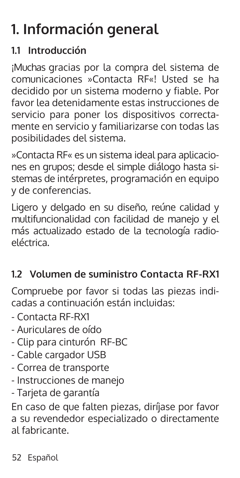# **1. Información general**

# **1.1 Introducción**

¡Muchas gracias por la compra del sistema de comunicaciones »Contacta RF«! Usted se ha decidido por un sistema moderno y fiable. Por favor lea detenidamente estas instrucciones de servicio para poner los dispositivos correctamente en servicio y familiarizarse con todas las posibilidades del sistema.

»Contacta RF« es un sistema ideal para aplicaciones en grupos; desde el simple diálogo hasta sistemas de intérpretes, programación en equipo y de conferencias.

Ligero y delgado en su diseño, reúne calidad y multifuncionalidad con facilidad de manejo y el más actualizado estado de la tecnología radioeléctrica.

# **1.2 Volumen de suministro Contacta RF-RX1**

Compruebe por favor si todas las piezas indicadas a continuación están incluidas:

- Contacta RF-RX1
- Auriculares de oído
- Clip para cinturón RF-BC
- Cable cargador USB
- Correa de transporte
- Instrucciones de manejo
- Tarjeta de garantía

En caso de que falten piezas, diríjase por favor a su revendedor especializado o directamente al fabricante.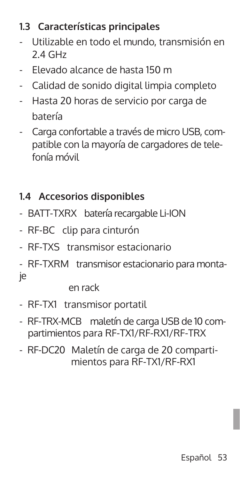### **1.3 Características principales**

- Utilizable en todo el mundo, transmisión en 2.4 GHz
- Elevado alcance de hasta 150 m
- Calidad de sonido digital limpia completo
- Hasta 20 horas de servicio por carga de batería
- Carga confortable a través de micro USB, compatible con la mayoría de cargadores de telefonía móvil

### **1.4 Accesorios disponibles**

- BATT-TXRX batería recargable Li-ION
- RF-BC clip para cinturón
- RF-TXS transmisor estacionario
- RF-TXRM transmisor estacionario para montaje

en rack

- RF-TX1 transmisor portatil
- RF-TRX-MCB maletín de carga USB de 10 compartimientos para RF-TX1/RF-RX1/RF-TRX
- RF-DC20 Maletín de carga de 20 comparti mientos para RF-TX1/RF-RX1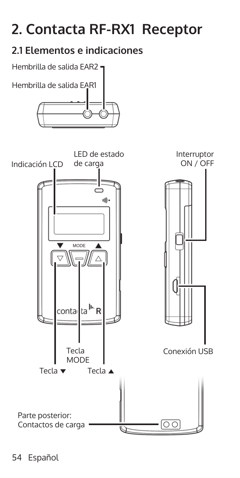# **2. Contacta RF-RX1 Receptor**

### **2.1 Elementos e indicaciones**



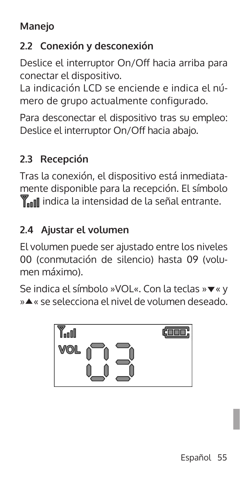### **Manejo**

### **2.2 Conexión y desconexión**

Deslice el interruptor On/Off hacia arriba para conectar el dispositivo.

La indicación LCD se enciende e indica el número de grupo actualmente configurado.

Para desconectar el dispositivo tras su empleo: Deslice el interruptor On/Off hacia abajo.

# **2.3 Recepción**

Tras la conexión, el dispositivo está inmediatamente disponible para la recepción. El símbolo **T**ul indica la intensidad de la señal entrante.

# **2.4 Ajustar el volumen**

El volumen puede ser ajustado entre los niveles 00 (conmutación de silencio) hasta 09 (volumen máximo).

Se indica el símbolo »VOL«. Con la teclas »v« y »« se selecciona el nivel de volumen deseado.

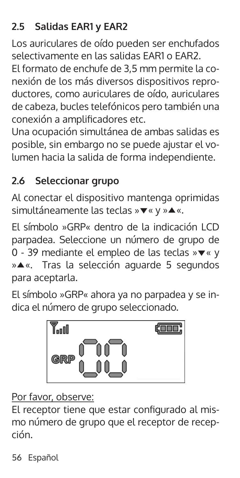# **2.5 Salidas EAR1 y EAR2**

Los auriculares de oído pueden ser enchufados selectivamente en las salidas EAR1 o EAR2. El formato de enchufe de 3,5 mm permite la conexión de los más diversos dispositivos reproductores, como auriculares de oído, auriculares de cabeza, bucles telefónicos pero también una conexión a amplificadores etc.

Una ocupación simultánea de ambas salidas es posible, sin embargo no se puede ajustar el volumen hacia la salida de forma independiente.

### **2.6 Seleccionar grupo**

Al conectar el dispositivo mantenga oprimidas simultáneamente las teclas » v « y » ▲ «.

El símbolo »GRP« dentro de la indicación LCD parpadea. Seleccione un número de grupo de 0 - 39 mediante el empleo de las teclas »« y »«. Tras la selección aguarde 5 segundos para aceptarla.

El símbolo »GRP« ahora ya no parpadea y se indica el número de grupo seleccionado.



Por favor, observe:

El receptor tiene que estar configurado al mismo número de grupo que el receptor de recepción.

56 Español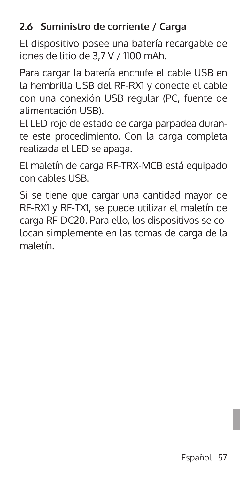### **2.6 Suministro de corriente / Carga**

El dispositivo posee una batería recargable de iones de litio de 3,7 V / 1100 mAh.

Para cargar la batería enchufe el cable USB en la hembrilla USB del RF-RX1 y conecte el cable con una conexión USB regular (PC, fuente de alimentación USB).

El LED rojo de estado de carga parpadea durante este procedimiento. Con la carga completa realizada el LED se apaga.

El maletín de carga RF-TRX-MCB está equipado con cables USB.

Si se tiene que cargar una cantidad mayor de RF-RX1 y RF-TX1, se puede utilizar el maletín de carga RF-DC20. Para ello, los dispositivos se colocan simplemente en las tomas de carga de la maletín.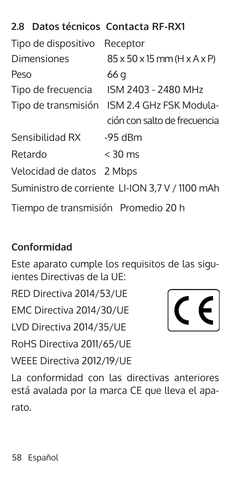# **2.8 Datos técnicos Contacta RF-RX1**

| Tipo de dispositivo                             | Receptor                                              |  |
|-------------------------------------------------|-------------------------------------------------------|--|
| Dimensiones                                     | $85 \times 50 \times 15$ mm (H $\times$ A $\times$ P) |  |
| Peso                                            | 66 q                                                  |  |
| Tipo de frecuencia                              | ISM 2403 - 2480 MHz                                   |  |
|                                                 | Tipo de transmisión ISM 2.4 GHz FSK Modula-           |  |
|                                                 | ción con salto de frecuencia                          |  |
| Sensibilidad RX                                 | $-95$ dBm                                             |  |
| Retardo                                         | $<$ 30 ms                                             |  |
| Velocidad de datos 2 Mbps                       |                                                       |  |
| Suministro de corriente LI-ION 3,7 V / 1100 mAh |                                                       |  |
|                                                 |                                                       |  |

Tiempo de transmisión Promedio 20 h

### **Conformidad**

Este aparato cumple los requisitos de las siguientes Directivas de la UE:

RED Directiva 2014/53/UE

EMC Directiva 2014/30/UE

LVD Directiva 2014/35/UE

RoHS Directiva 2011/65/UE

WEEE Directiva 2012/19/UE



La conformidad con las directivas anteriores está avalada por la marca CE que lleva el aparato.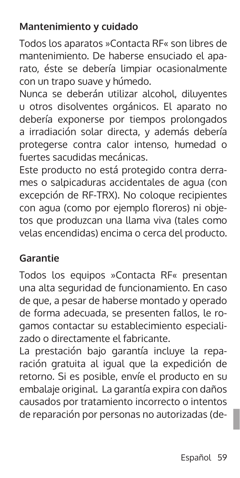### **Mantenimiento y cuidado**

Todos los aparatos »Contacta RF« son libres de mantenimiento. De haberse ensuciado el aparato, éste se debería limpiar ocasionalmente con un trapo suave y húmedo.

Nunca se deberán utilizar alcohol, diluyentes u otros disolventes orgánicos. El aparato no debería exponerse por tiempos prolongados a irradiación solar directa, y además debería protegerse contra calor intenso, humedad o fuertes sacudidas mecánicas.

Este producto no está protegido contra derrames o salpicaduras accidentales de agua (con excepción de RF-TRX). No coloque recipientes con agua (como por ejemplo floreros) ni objetos que produzcan una llama viva (tales como velas encendidas) encima o cerca del producto.

#### **Garantie**

Todos los equipos »Contacta RF« presentan una alta seguridad de funcionamiento. En caso de que, a pesar de haberse montado y operado de forma adecuada, se presenten fallos, le rogamos contactar su establecimiento especializado o directamente el fabricante.

La prestación bajo garantía incluye la reparación gratuita al igual que la expedición de retorno. Si es posible, envíe el producto en su embalaje original. La garantía expira con daños causados por tratamiento incorrecto o intentos de reparación por personas no autorizadas (de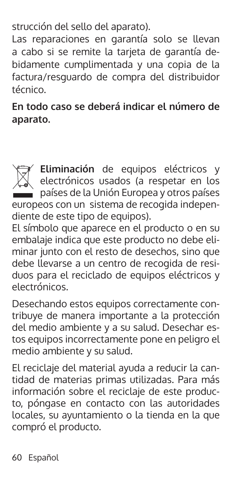strucción del sello del aparato).

Las reparaciones en garantía solo se llevan a cabo si se remite la tarjeta de garantía debidamente cumplimentada y una copia de la factura/resguardo de compra del distribuidor técnico.

### **En todo caso se deberá indicar el número de aparato.**

**Eliminación** de equipos eléctricos y electrónicos usados (a respetar en los países de la Unión Europea y otros países europeos con un sistema de recogida independiente de este tipo de equipos).

El símbolo que aparece en el producto o en su embalaje indica que este producto no debe eliminar junto con el resto de desechos, sino que debe llevarse a un centro de recogida de residuos para el reciclado de equipos eléctricos y electrónicos.

Desechando estos equipos correctamente contribuye de manera importante a la protección del medio ambiente y a su salud. Desechar estos equipos incorrectamente pone en peligro el medio ambiente y su salud.

El reciclaje del material ayuda a reducir la cantidad de materias primas utilizadas. Para más información sobre el reciclaje de este producto, póngase en contacto con las autoridades locales, su ayuntamiento o la tienda en la que compró el producto.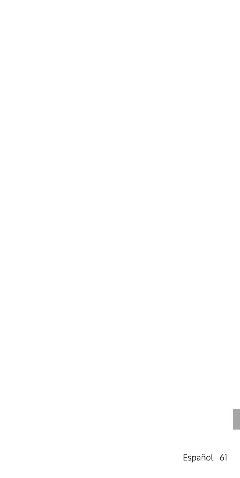Español 61

l